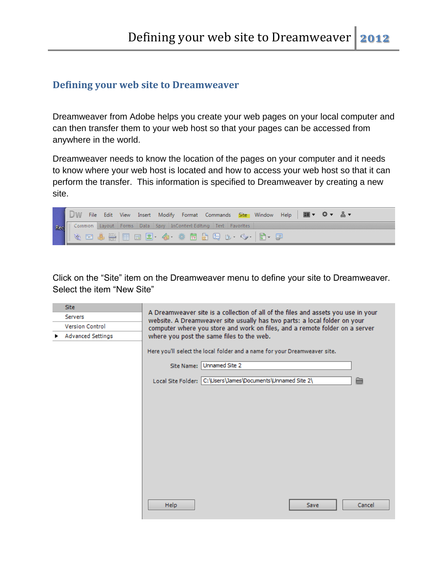## **Defining your web site to Dreamweaver**

Dreamweaver from Adobe helps you create your web pages on your local computer and can then transfer them to your web host so that your pages can be accessed from anywhere in the world.

Dreamweaver needs to know the location of the pages on your computer and it needs to know where your web host is located and how to access your web host so that it can perform the transfer. This information is specified to Dreamweaver by creating a new site.



Click on the "Site" item on the Dreamweaver menu to define your site to Dreamweaver. Select the item "New Site"

| <b>Site</b>              | A Dreamweaver site is a collection of all of the files and assets you use in your                                                                                                                     |  |  |  |
|--------------------------|-------------------------------------------------------------------------------------------------------------------------------------------------------------------------------------------------------|--|--|--|
| Servers                  | website. A Dreamweaver site usually has two parts: a local folder on your<br>computer where you store and work on files, and a remote folder on a server<br>where you post the same files to the web. |  |  |  |
| <b>Version Control</b>   |                                                                                                                                                                                                       |  |  |  |
| <b>Advanced Settings</b> |                                                                                                                                                                                                       |  |  |  |
|                          | Here you'll select the local folder and a name for your Dreamweaver site.                                                                                                                             |  |  |  |
|                          | Unnamed Site 2<br>Site Name:                                                                                                                                                                          |  |  |  |
|                          | Local Site Folder: C:\Users\James\Documents\Unnamed Site 2\<br>≐                                                                                                                                      |  |  |  |
|                          |                                                                                                                                                                                                       |  |  |  |
|                          |                                                                                                                                                                                                       |  |  |  |
|                          |                                                                                                                                                                                                       |  |  |  |
|                          |                                                                                                                                                                                                       |  |  |  |
|                          |                                                                                                                                                                                                       |  |  |  |
|                          |                                                                                                                                                                                                       |  |  |  |
|                          |                                                                                                                                                                                                       |  |  |  |
|                          |                                                                                                                                                                                                       |  |  |  |
|                          | <b>Help</b><br>Cancel<br>Save                                                                                                                                                                         |  |  |  |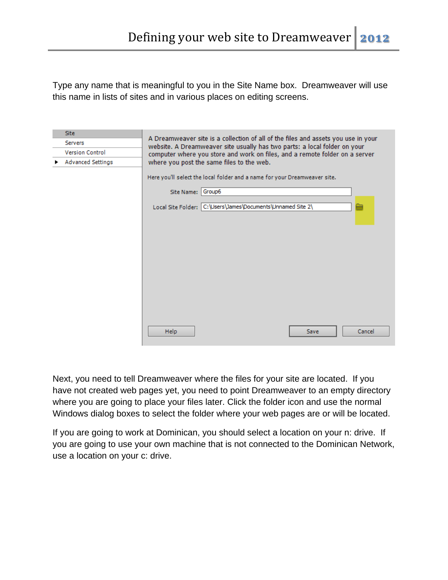Type any name that is meaningful to you in the Site Name box. Dreamweaver will use this name in lists of sites and in various places on editing screens.

| Site                     |                                                                                                                                                                |  |  |  |
|--------------------------|----------------------------------------------------------------------------------------------------------------------------------------------------------------|--|--|--|
| Servers                  | A Dreamweaver site is a collection of all of the files and assets you use in your<br>website. A Dreamweaver site usually has two parts: a local folder on your |  |  |  |
| Version Control          | computer where you store and work on files, and a remote folder on a server<br>where you post the same files to the web.                                       |  |  |  |
| <b>Advanced Settings</b> |                                                                                                                                                                |  |  |  |
|                          | Here you'll select the local folder and a name for your Dreamweaver site.<br>Group6<br>Site Name:                                                              |  |  |  |
|                          | Local Site Folder: C:\Users\James\Documents\Unnamed Site 2\<br>≃                                                                                               |  |  |  |
|                          |                                                                                                                                                                |  |  |  |
|                          |                                                                                                                                                                |  |  |  |
|                          |                                                                                                                                                                |  |  |  |
|                          |                                                                                                                                                                |  |  |  |
|                          |                                                                                                                                                                |  |  |  |
|                          | Help<br>Cancel<br>Save                                                                                                                                         |  |  |  |

Next, you need to tell Dreamweaver where the files for your site are located. If you have not created web pages yet, you need to point Dreamweaver to an empty directory where you are going to place your files later. Click the folder icon and use the normal Windows dialog boxes to select the folder where your web pages are or will be located.

If you are going to work at Dominican, you should select a location on your n: drive. If you are going to use your own machine that is not connected to the Dominican Network, use a location on your c: drive.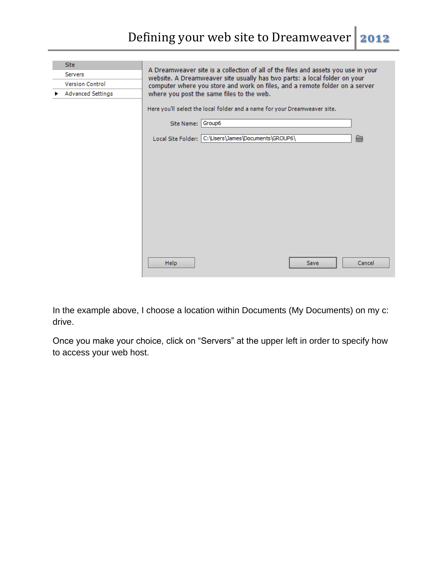| Site:                    |                                                                                                                                                                |  |  |  |  |
|--------------------------|----------------------------------------------------------------------------------------------------------------------------------------------------------------|--|--|--|--|
| Servers                  | A Dreamweaver site is a collection of all of the files and assets you use in your<br>website. A Dreamweaver site usually has two parts: a local folder on your |  |  |  |  |
| <b>Version Control</b>   | computer where you store and work on files, and a remote folder on a server                                                                                    |  |  |  |  |
| <b>Advanced Settings</b> | where you post the same files to the web.                                                                                                                      |  |  |  |  |
|                          | Here you'll select the local folder and a name for your Dreamweaver site.                                                                                      |  |  |  |  |
|                          | Group6<br>Site Name:                                                                                                                                           |  |  |  |  |
|                          | Local Site Folder: C:\Users\James\Documents\GROUP6\<br>≘                                                                                                       |  |  |  |  |
|                          |                                                                                                                                                                |  |  |  |  |
|                          |                                                                                                                                                                |  |  |  |  |
|                          |                                                                                                                                                                |  |  |  |  |
|                          |                                                                                                                                                                |  |  |  |  |
|                          |                                                                                                                                                                |  |  |  |  |
|                          |                                                                                                                                                                |  |  |  |  |
|                          |                                                                                                                                                                |  |  |  |  |
|                          |                                                                                                                                                                |  |  |  |  |
|                          |                                                                                                                                                                |  |  |  |  |
|                          |                                                                                                                                                                |  |  |  |  |
|                          | <b>Help</b><br>Cancel<br>Save                                                                                                                                  |  |  |  |  |

In the example above, I choose a location within Documents (My Documents) on my c: drive.

Once you make your choice, click on "Servers" at the upper left in order to specify how to access your web host.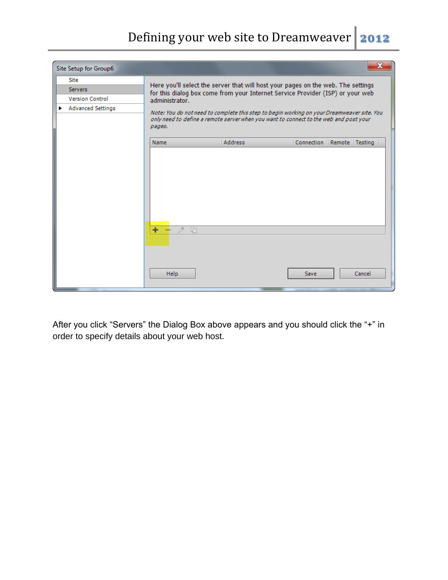## Defining your web site to Dreamweaver **2012**

| Site                     |                               | Here you'll select the server that will host your pages on the web. The settings                                                                                                    |             |                               |
|--------------------------|-------------------------------|-------------------------------------------------------------------------------------------------------------------------------------------------------------------------------------|-------------|-------------------------------|
| <b>Servers</b>           |                               | for this dialog box come from your Internet Service Provider (ISP) or your web                                                                                                      |             |                               |
| <b>Version Control</b>   | administrator.                |                                                                                                                                                                                     |             |                               |
| <b>Advanced Settings</b> | pages.                        | Note: You do not need to complete this step to begin working on your Dreamweaver site. You<br>only need to define a remote server when you want to connect to the web and post your |             |                               |
|                          | Name                          | <b>Address</b>                                                                                                                                                                      |             | Connection   Remote   Testing |
|                          | ÷<br>$\bar{\mathcal{O}}$<br>머 |                                                                                                                                                                                     |             |                               |
|                          | Help                          |                                                                                                                                                                                     | <b>Save</b> | Cancel                        |

After you click "Servers" the Dialog Box above appears and you should click the "+" in order to specify details about your web host.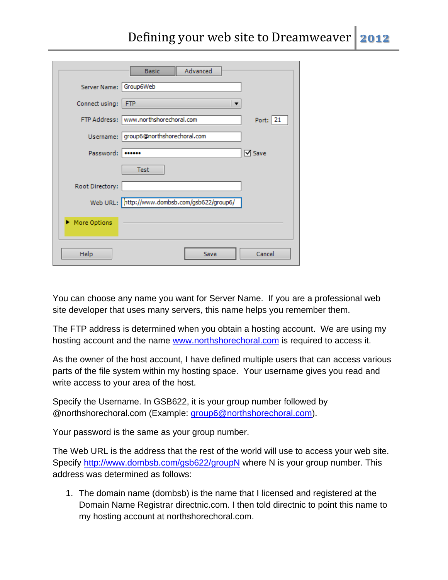|                        | Advanced<br><b>Basic</b>                      |               |
|------------------------|-----------------------------------------------|---------------|
| Server Name: Group6Web |                                               |               |
| Connect using:         | <b>FTP</b><br>$\overline{\phantom{a}}$        |               |
| FTP Address:           | www.northshorechoral.com                      | Port:   21    |
| Username:              | group6@northshorechoral.com                   |               |
| Password:              |                                               | <b>⊠</b> Save |
|                        | <b>Test</b>                                   |               |
| Root Directory:        |                                               |               |
|                        | Web URL: http://www.dombsb.com/gsb622/group6/ |               |
| More Options           |                                               |               |
| Help                   | Save                                          | Cancel        |

You can choose any name you want for Server Name. If you are a professional web site developer that uses many servers, this name helps you remember them.

The FTP address is determined when you obtain a hosting account. We are using my hosting account and the name [www.northshorechoral.com](http://www.northshorechoral.com/) is required to access it.

As the owner of the host account, I have defined multiple users that can access various parts of the file system within my hosting space. Your username gives you read and write access to your area of the host.

Specify the Username. In GSB622, it is your group number followed by @northshorechoral.com (Example: [group6@northshorechoral.com\)](mailto:group6@northshorechoral.com).

Your password is the same as your group number.

The Web URL is the address that the rest of the world will use to access your web site. Specify<http://www.dombsb.com/gsb622/groupN> where N is your group number. This address was determined as follows:

1. The domain name (dombsb) is the name that I licensed and registered at the Domain Name Registrar directnic.com. I then told directnic to point this name to my hosting account at northshorechoral.com.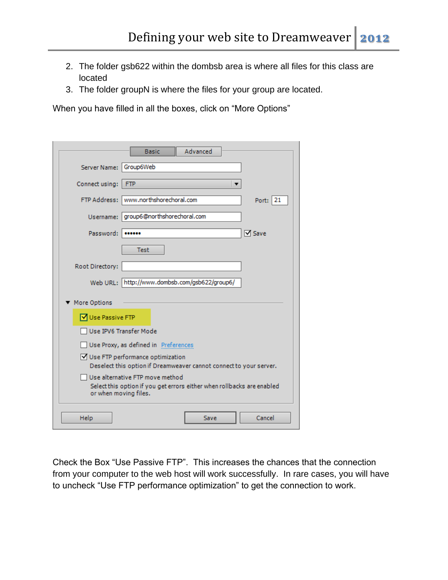- 2. The folder gsb622 within the dombsb area is where all files for this class are located
- 3. The folder groupN is where the files for your group are located.

When you have filled in all the boxes, click on "More Options"

| Advanced<br><b>Basic</b>                                                                                                           |  |
|------------------------------------------------------------------------------------------------------------------------------------|--|
| Server Name: Group6Web                                                                                                             |  |
| Connect using:<br><b>FTP</b>                                                                                                       |  |
| www.northshorechoral.com<br><b>FTP Address:</b><br>Port: 21                                                                        |  |
| group6@northshorechoral.com<br>Username:                                                                                           |  |
| <b>⊠</b> Save<br>Password:<br>                                                                                                     |  |
| <b>Test</b>                                                                                                                        |  |
| Root Directory:                                                                                                                    |  |
| Web URL: http://www.dombsb.com/gsb622/group6/                                                                                      |  |
| ▼ More Options                                                                                                                     |  |
| <b>√</b> Use Passive FTP                                                                                                           |  |
| Use IPV6 Transfer Mode                                                                                                             |  |
| Use Proxy, as defined in Preferences                                                                                               |  |
| √ Use FTP performance optimization<br>Deselect this option if Dreamweaver cannot connect to your server.                           |  |
| Use alternative FTP move method<br>Select this option if you get errors either when rollbacks are enabled<br>or when moving files. |  |
| Cancel<br>Help<br>Save                                                                                                             |  |

Check the Box "Use Passive FTP". This increases the chances that the connection from your computer to the web host will work successfully. In rare cases, you will have to uncheck "Use FTP performance optimization" to get the connection to work.